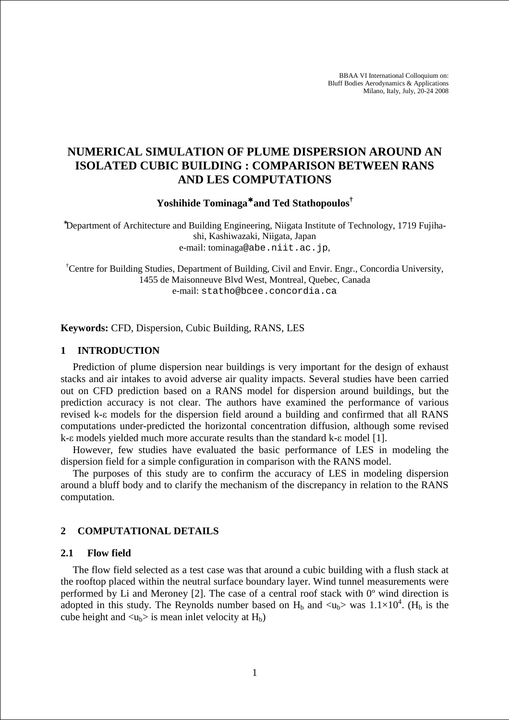BBAA VI International Colloquium on: Bluff Bodies Aerodynamics & Applications Milano, Italy, July, 20-24 2008

# **NUMERICAL SIMULATION OF PLUME DISPERSION AROUND AN ISOLATED CUBIC BUILDING : COMPARISON BETWEEN RANS AND LES COMPUTATIONS**

**Yoshihide Tominaga**<sup>∗</sup> **and Ted Stathopoulos†**

<sup>∗</sup>Department of Architecture and Building Engineering, Niigata Institute of Technology, 1719 Fujihashi, Kashiwazaki, Niigata, Japan e-mail: tominaga@abe.niit.ac.jp,

†Centre for Building Studies, Department of Building, Civil and Envir. Engr., Concordia University, 1455 de Maisonneuve Blvd West, Montreal, Quebec, Canada e-mail: statho@bcee.concordia.ca

**Keywords:** CFD, Dispersion, Cubic Building, RANS, LES

#### **1 INTRODUCTION**

Prediction of plume dispersion near buildings is very important for the design of exhaust stacks and air intakes to avoid adverse air quality impacts. Several studies have been carried out on CFD prediction based on a RANS model for dispersion around buildings, but the prediction accuracy is not clear. The authors have examined the performance of various revised k-ε models for the dispersion field around a building and confirmed that all RANS computations under-predicted the horizontal concentration diffusion, although some revised k-ε models yielded much more accurate results than the standard k-ε model [1].

However, few studies have evaluated the basic performance of LES in modeling the dispersion field for a simple configuration in comparison with the RANS model.

The purposes of this study are to confirm the accuracy of LES in modeling dispersion around a bluff body and to clarify the mechanism of the discrepancy in relation to the RANS computation.

## **2 COMPUTATIONAL DETAILS**

### **2.1 Flow field**

The flow field selected as a test case was that around a cubic building with a flush stack at the rooftop placed within the neutral surface boundary layer. Wind tunnel measurements were performed by Li and Meroney [2]. The case of a central roof stack with  $0^{\circ}$  wind direction is adopted in this study. The Reynolds number based on  $H_b$  and  $\langle u_b \rangle$  was  $1.1 \times 10^4$ . (H<sub>b</sub> is the cube height and  $\langle u_{b} \rangle$  is mean inlet velocity at  $H_b$ )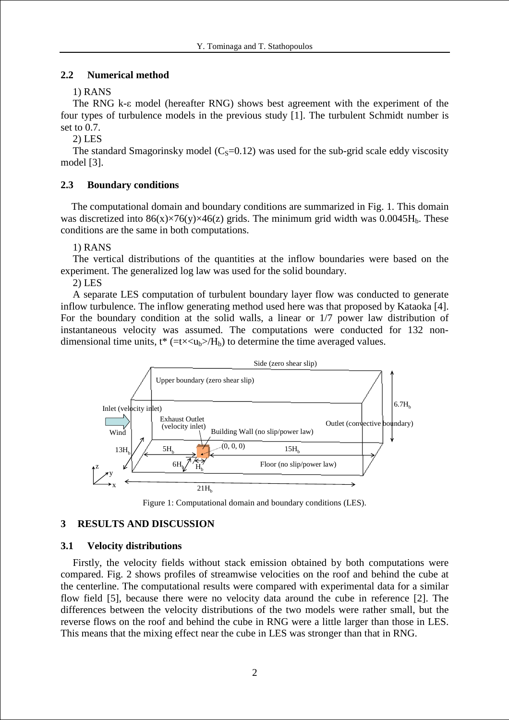## **2.2 Numerical method**

1) RANS

The RNG k-ε model (hereafter RNG) shows best agreement with the experiment of the four types of turbulence models in the previous study [1]. The turbulent Schmidt number is set to 0.7.

2) LES

The standard Smagorinsky model  $(C<sub>S</sub>=0.12)$  was used for the sub-grid scale eddy viscosity model [3].

## **2.3 Boundary conditions**

The computational domain and boundary conditions are summarized in Fig. 1. This domain was discretized into  $86(x) \times 76(y) \times 46(z)$  grids. The minimum grid width was  $0.0045H_b$ . These conditions are the same in both computations.

1) RANS

The vertical distributions of the quantities at the inflow boundaries were based on the experiment. The generalized log law was used for the solid boundary.

2) LES

A separate LES computation of turbulent boundary layer flow was conducted to generate inflow turbulence. The inflow generating method used here was that proposed by Kataoka [4]. For the boundary condition at the solid walls, a linear or 1/7 power law distribution of instantaneous velocity was assumed. The computations were conducted for 132 nondimensional time units,  $t^*$  (=t $\times$   $\ltimes$ u<sub>b</sub> $>$ /H<sub>b</sub>) to determine the time averaged values.



Figure 1: Computational domain and boundary conditions (LES).

## **3 RESULTS AND DISCUSSION**

## **3.1 Velocity distributions**

Firstly, the velocity fields without stack emission obtained by both computations were compared. Fig. 2 shows profiles of streamwise velocities on the roof and behind the cube at the centerline. The computational results were compared with experimental data for a similar flow field [5], because there were no velocity data around the cube in reference [2]. The differences between the velocity distributions of the two models were rather small, but the reverse flows on the roof and behind the cube in RNG were a little larger than those in LES. This means that the mixing effect near the cube in LES was stronger than that in RNG.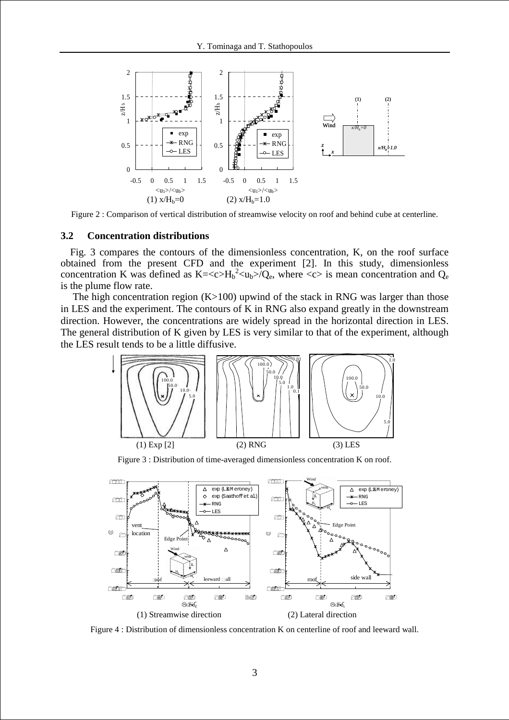

Figure 2 : Comparison of vertical distribution of streamwise velocity on roof and behind cube at centerline.

#### **3.2 Concentration distributions**

Fig. 3 compares the contours of the dimensionless concentration, K, on the roof surface obtained from the present CFD and the experiment [2]. In this study, dimensionless concentration K was defined as  $K = \langle c \rangle H_b^2 \langle u_b \rangle Q_e$ , where  $\langle c \rangle$  is mean concentration and  $Q_e$ is the plume flow rate.

The high concentration region  $(K>100)$  upwind of the stack in RNG was larger than those in LES and the experiment. The contours of K in RNG also expand greatly in the downstream direction. However, the concentrations are widely spread in the horizontal direction in LES. The general distribution of K given by LES is very similar to that of the experiment, although the LES result tends to be a little diffusive.



Figure 3 : Distribution of time-averaged dimensionless concentration K on roof.



Figure 4 : Distribution of dimensionless concentration K on centerline of roof and leeward wall.